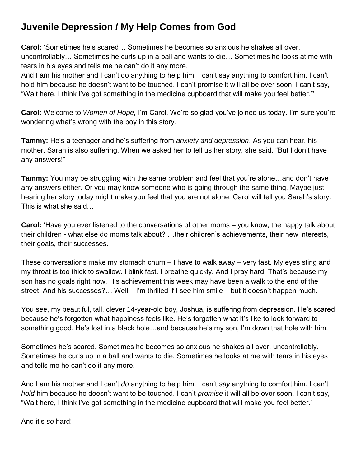## **Juvenile Depression / My Help Comes from God**

**Carol:** 'Sometimes he's scared… Sometimes he becomes so anxious he shakes all over, uncontrollably… Sometimes he curls up in a ball and wants to die… Sometimes he looks at me with tears in his eyes and tells me he can't do it any more.

And I am his mother and I can't do anything to help him. I can't say anything to comfort him. I can't hold him because he doesn't want to be touched. I can't promise it will all be over soon. I can't say, "Wait here, I think I've got something in the medicine cupboard that will make you feel better."'

**Carol:** Welcome to *Women of Hope,* I'm Carol. We're so glad you've joined us today. I'm sure you're wondering what's wrong with the boy in this story.

**Tammy:** He's a teenager and he's suffering from *anxiety and depression*. As you can hear, his mother, Sarah is also suffering. When we asked her to tell us her story, she said, "But I don't have any answers!"

**Tammy:** You may be struggling with the same problem and feel that you're alone…and don't have any answers either. Or you may know someone who is going through the same thing. Maybe just hearing her story today might make you feel that you are not alone. Carol will tell you Sarah's story. This is what she said…

**Carol:** 'Have you ever listened to the conversations of other moms – you know, the happy talk about their children - what else do moms talk about? …their children's achievements, their new interests, their goals, their successes.

These conversations make my stomach churn – I have to walk away – very fast. My eyes sting and my throat is too thick to swallow. I blink fast. I breathe quickly. And I pray hard. That's because my son has no goals right now. His achievement this week may have been a walk to the end of the street. And his successes?… Well – I'm thrilled if I see him smile – but it doesn't happen much.

You see, my beautiful, tall, clever 14-year-old boy, Joshua, is suffering from depression. He's scared because he's forgotten what happiness feels like. He's forgotten what it's like to look forward to something good. He's lost in a black hole…and because he's my son, I'm down that hole with him.

Sometimes he's scared. Sometimes he becomes so anxious he shakes all over, uncontrollably. Sometimes he curls up in a ball and wants to die. Sometimes he looks at me with tears in his eyes and tells me he can't do it any more.

And I am his mother and I can't *do* anything to help him. I can't *say* anything to comfort him. I can't *hold* him because he doesn't want to be touched. I can't *promise* it will all be over soon. I can't say, "Wait here, I think I've got something in the medicine cupboard that will make you feel better."

And it's *so* hard!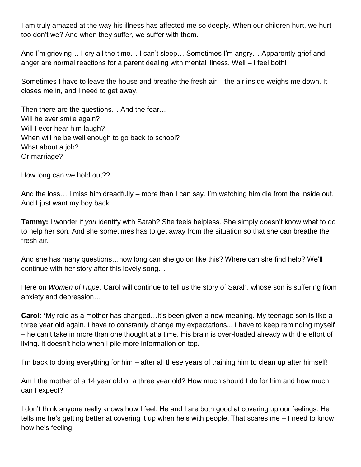I am truly amazed at the way his illness has affected me so deeply. When our children hurt, we hurt too don't we? And when they suffer, we suffer with them.

And I'm grieving… I cry all the time… I can't sleep… Sometimes I'm angry… Apparently grief and anger are normal reactions for a parent dealing with mental illness. Well – I feel both!

Sometimes I have to leave the house and breathe the fresh air – the air inside weighs me down. It closes me in, and I need to get away.

Then there are the questions… And the fear… Will he ever smile again? Will I ever hear him laugh? When will he be well enough to go back to school? What about a job? Or marriage?

How long can we hold out??

And the loss… I miss him dreadfully – more than I can say. I'm watching him die from the inside out. And I just want my boy back.

**Tammy:** I wonder if *you* identify with Sarah? She feels helpless. She simply doesn't know what to do to help her son. And she sometimes has to get away from the situation so that she can breathe the fresh air.

And she has many questions…how long can she go on like this? Where can she find help? We'll continue with her story after this lovely song…

Here on *Women of Hope,* Carol will continue to tell us the story of Sarah, whose son is suffering from anxiety and depression…

**Carol: '**My role as a mother has changed…it's been given a new meaning. My teenage son is like a three year old again. I have to constantly change my expectations... I have to keep reminding myself – he can't take in more than one thought at a time. His brain is over-loaded already with the effort of living. It doesn't help when I pile more information on top.

I'm back to doing everything for him – after all these years of training him to clean up after himself!

Am I the mother of a 14 year old or a three year old? How much should I do for him and how much can I expect?

I don't think anyone really knows how I feel. He and I are both good at covering up our feelings. He tells me he's getting better at covering it up when he's with people. That scares me – I need to know how he's feeling.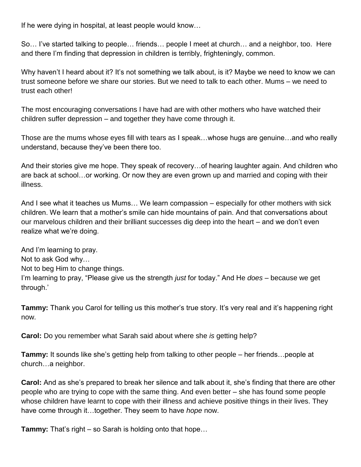If he were dying in hospital, at least people would know…

So… I've started talking to people… friends… people I meet at church… and a neighbor, too. Here and there I'm finding that depression in children is terribly, frighteningly, common.

Why haven't I heard about it? It's not something we talk about, is it? Maybe we need to know we can trust someone before we share our stories. But we need to talk to each other. Mums – we need to trust each other!

The most encouraging conversations I have had are with other mothers who have watched their children suffer depression – and together they have come through it.

Those are the mums whose eyes fill with tears as I speak…whose hugs are genuine…and who really understand, because they've been there too.

And their stories give me hope. They speak of recovery…of hearing laughter again. And children who are back at school…or working. Or now they are even grown up and married and coping with their illness.

And I see what it teaches us Mums… We learn compassion – especially for other mothers with sick children. We learn that a mother's smile can hide mountains of pain. And that conversations about our marvelous children and their brilliant successes dig deep into the heart – and we don't even realize what we're doing.

And I'm learning to pray. Not to ask God why… Not to beg Him to change things. I'm learning to pray, "Please give us the strength *just* for today." And He *does* – because we get through.'

**Tammy:** Thank you Carol for telling us this mother's true story. It's very real and it's happening right now.

**Carol:** Do you remember what Sarah said about where she *is* getting help?

**Tammy:** It sounds like she's getting help from talking to other people – her friends…people at church…a neighbor.

**Carol:** And as she's prepared to break her silence and talk about it, she's finding that there are other people who are trying to cope with the same thing. And even better – she has found some people whose children have learnt to cope with their illness and achieve positive things in their lives. They have come through it…together. They seem to have *hope* now.

**Tammy:** That's right – so Sarah is holding onto that hope…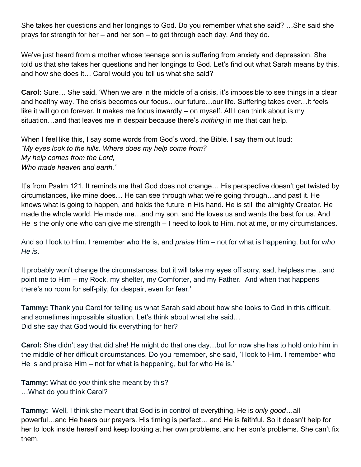She takes her questions and her longings to God. Do you remember what she said? …She said she prays for strength for her – and her son – to get through each day. And they do.

We've just heard from a mother whose teenage son is suffering from anxiety and depression. She told us that she takes her questions and her longings to God. Let's find out what Sarah means by this, and how she does it… Carol would you tell us what she said?

**Carol:** Sure*…* She said, 'When we are in the middle of a crisis, it's impossible to see things in a clear and healthy way. The crisis becomes our focus…our future…our life. Suffering takes over…it feels like it will go on forever. It makes me focus inwardly – on myself. All I can think about is my situation…and that leaves me in despair because there's *nothing* in me that can help.

When I feel like this, I say some words from God's word, the Bible. I say them out loud: *"My eyes look to the hills. Where does my help come from? My help comes from the Lord, Who made heaven and earth."* 

It's from Psalm 121. It reminds me that God does not change… His perspective doesn't get twisted by circumstances, like mine does… He can see through what we're going through…and past it. He knows what is going to happen, and holds the future in His hand. He is still the almighty Creator. He made the whole world. He made me…and my son, and He loves us and wants the best for us. And He is the only one who can give me strength – I need to look to Him, not at me, or my circumstances.

And so I look to Him. I remember who He is, and *praise* Him – not for what is happening, but for *who He is*.

It probably won't change the circumstances, but it will take my eyes off sorry, sad, helpless me…and point me to Him – my Rock, my shelter, my Comforter, and my Father. And when that happens there's no room for self-pity, for despair, even for fear.'

**Tammy:** Thank you Carol for telling us what Sarah said about how she looks to God in this difficult, and sometimes impossible situation. Let's think about what she said… Did she say that God would fix everything for her?

**Carol:** She didn't say that did she! He might do that one day…but for now she has to hold onto him in the middle of her difficult circumstances. Do you remember, she said, 'I look to Him. I remember who He is and praise Him – not for what is happening, but for who He is.'

**Tammy:** What do *you* think she meant by this? …What do you think Carol?

**Tammy:** Well, I think she meant that God is in control of everything. He is *only good*…all powerful…and He hears our prayers. His timing is perfect… and He is faithful. So it doesn't help for her to look inside herself and keep looking at her own problems, and her son's problems. She can't fix them.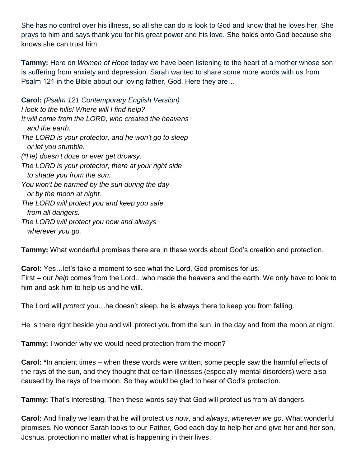She has no control over his illness, so all she can do is look to God and know that he loves her. She prays to him and says thank you for his great power and his love. She holds onto God because she knows she can trust him.

**Tammy:** Here on *Women of Hope* today we have been listening to the heart of a mother whose son is suffering from anxiety and depression. Sarah wanted to share some more words with us from Psalm 121 in the Bible about our loving father, God. Here they are…

**Carol:** *(Psalm 121 Contemporary English Version) I look to the hills! Where will I find help? It will come from the LORD, who created the heavens and the earth. The LORD is your protector, and he won't go to sleep or let you stumble. (\*He) doesn't doze or ever get drowsy. The LORD is your protector, there at your right side to shade you from the sun. You won't be harmed by the sun during the day or by the moon at night. The LORD will protect you and keep you safe from all dangers. The LORD will protect you now and always wherever you go.*

**Tammy:** What wonderful promises there are in these words about God's creation and protection.

**Carol:** Yes…let's take a moment to see what the Lord, God promises for us. First – our *help* comes from the Lord…who made the heavens and the earth. We only have to look to him and ask him to help us and he will.

The Lord will *protect* you…he doesn't sleep, he is always there to keep you from falling.

He is there right beside you and will protect you from the sun, in the day and from the moon at night.

**Tammy:** I wonder why we would need protection from the moon?

**Carol: \***In ancient times – when these words were written, some people saw the harmful effects of the rays of the sun, and they thought that certain illnesses (especially mental disorders) were also caused by the rays of the moon. So they would be glad to hear of God's protection.

**Tammy:** That's interesting. Then these words say that God will protect us from *all* dangers.

**Carol:** And finally we learn that he will protect us *now*, and *always*, *wherever we go*. What wonderful promises. No wonder Sarah looks to our Father, God each day to help her and give her and her son, Joshua, protection no matter what is happening in their lives.